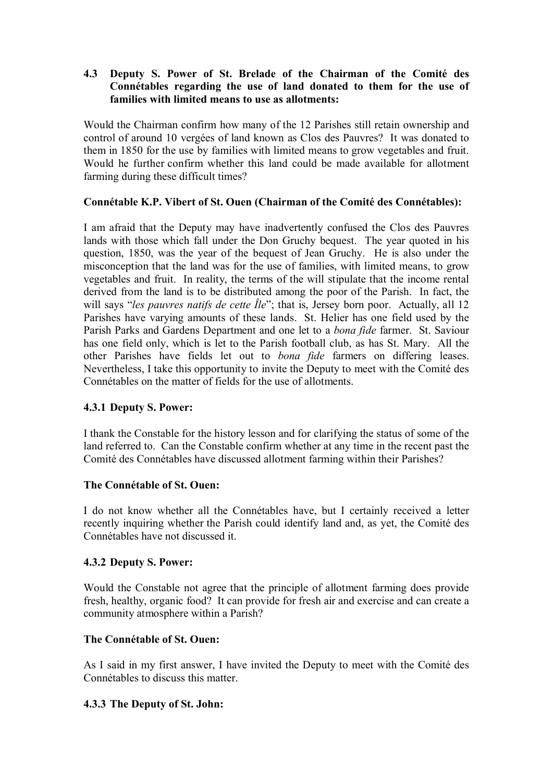## **4.3** � **Deputy S. Power of St. Brelade of the Chairman of the Comité des Connétables regarding the use of land donated to them for the use of families with limited means to use as allotments:**

Would the Chairman confirm how many of the 12 Parishes still retain ownership and control of around 10 vergées of land known as Clos des Pauvres? It was donated to them in 1850 for the use by families with limited means to grow vegetables and fruit. Would he further confirm whether this land could be made available for allotment farming during these difficult times?

# **Connétable K.P. Vibert of St. Ouen (Chairman of the Comité des Connétables):**

I am afraid that the Deputy may have inadvertently confused the Clos des Pauvres lands with those which fall under the Don Gruchy bequest. The year quoted in his question, 1850, was the year of the bequest of Jean Gruchy. He is also under the misconception that the land was for the use of families, with limited means, to grow vegetables and fruit. In reality, the terms of the will stipulate that the income rental derived from the land is to be distributed among the poor of the Parish. In fact, the will says "*les pauvres natifs de cette Île*"; that is, Jersey born poor. Actually, all 12 Parishes have varying amounts of these lands. St. Helier has one field used by the Parish Parks and Gardens Department and one let to a *bona fide* farmer. St. Saviour has one field only, which is let to the Parish football club, as has St. Mary. All the other Parishes have fields let out to *bona fide* farmers on differing leases. Nevertheless, I take this opportunity to invite the Deputy to meet with the Comité des Connétables on the matter of fields for the use of allotments.

## **4.3.1 Deputy S. Power:**

I thank the Constable for the history lesson and for clarifying the status of some of the land referred to. Can the Constable confirm whether at any time in the recent past the Comité des Connétables have discussed allotment farming within their Parishes?

## **The Connétable of St. Ouen:**

I do not know whether all the Connétables have, but I certainly received a letter recently inquiring whether the Parish could identify land and, as yet, the Comité des Connétables have not discussed it.

## **4.3.2 Deputy S. Power:**

Would the Constable not agree that the principle of allotment farming does provide fresh, healthy, organic food? It can provide for fresh air and exercise and can create a community atmosphere within a Parish?

## **The Connétable of St. Ouen:**

As I said in my first answer, I have invited the Deputy to meet with the Comité des Connétables to discuss this matter.

## **4.3.3 The Deputy of St. John:**